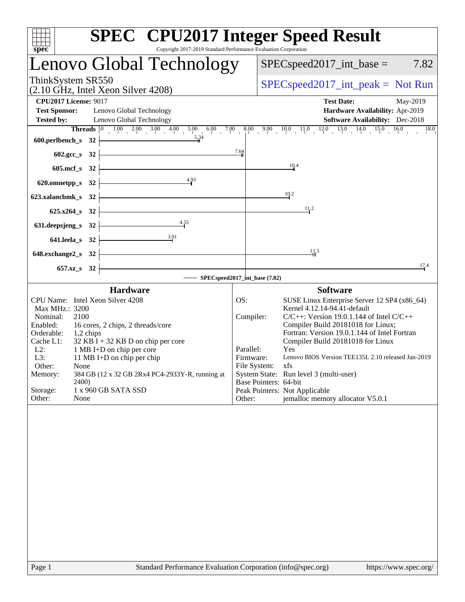| <b>SPEC<sup>®</sup></b> CPU2017 Integer Speed Result<br>spec<br>Copyright 2017-2019 Standard Performance Evaluation Corporation                                                               |                        |                                                                                     |
|-----------------------------------------------------------------------------------------------------------------------------------------------------------------------------------------------|------------------------|-------------------------------------------------------------------------------------|
| Lenovo Global Technology                                                                                                                                                                      |                        | $SPEC speed2017\_int\_base =$<br>7.82                                               |
| ThinkSystem SR550<br>$(2.10 \text{ GHz}, \text{Intel Xeon Silver } 4208)$                                                                                                                     |                        | $SPEC speed2017\_int\_peak = Not Run$                                               |
| <b>CPU2017 License: 9017</b>                                                                                                                                                                  |                        | <b>Test Date:</b><br>May-2019                                                       |
| <b>Test Sponsor:</b><br>Lenovo Global Technology                                                                                                                                              |                        | Hardware Availability: Apr-2019                                                     |
| <b>Tested by:</b><br>Lenovo Global Technology                                                                                                                                                 |                        | <b>Software Availability:</b> Dec-2018                                              |
| <b>Threads</b> $\begin{bmatrix} 0 & 1.00 & 2.00 & 3.00 & 4.00 & 5.00 & 6.00 & 7.00 & 8.00 & 9.00 & 10.0 & 11.0 & 12.0 & 13.0 & 14.0 & 15.0 & 16.0 \end{bmatrix}$<br><b>600.perlbench_s</b> 32 |                        |                                                                                     |
| $602.\text{sec}\text{-}s$ 32                                                                                                                                                                  | 7.64                   |                                                                                     |
| $605 \text{.mcf}\, \text{s}$ 32                                                                                                                                                               |                        | $\frac{10.4}{1}$                                                                    |
| 620.omnetpp_s 32 $\leftarrow$ 4.93                                                                                                                                                            |                        |                                                                                     |
| $623.xalancbmk_s$ $32$ $\overline{\phantom{a}}$                                                                                                                                               |                        | 10.2                                                                                |
| $625.x264_s$ 32                                                                                                                                                                               |                        | 11.2                                                                                |
| 631. deepsjeng_s 32 $\overline{)$ 4.55                                                                                                                                                        |                        |                                                                                     |
| 641.leela_s 32 $\frac{3.91}{1}$                                                                                                                                                               |                        |                                                                                     |
| $648$ .exchange2_s $32$ $\overline{\phantom{a}}$                                                                                                                                              |                        | 11.5                                                                                |
| <u> 1989 - Johann Barbara, martxa alemaniar a</u><br>$657.xz$ <sub>8</sub> 32                                                                                                                 |                        | 17.4                                                                                |
| SPECspeed2017_int_base (7.82)                                                                                                                                                                 |                        |                                                                                     |
| <b>Hardware</b>                                                                                                                                                                               |                        | <b>Software</b>                                                                     |
| CPU Name: Intel Xeon Silver 4208                                                                                                                                                              | OS:                    | SUSE Linux Enterprise Server 12 SP4 (x86_64)                                        |
| Max MHz.: 3200                                                                                                                                                                                |                        | Kernel 4.12.14-94.41-default                                                        |
| Nominal:<br>2100<br>Enabled:<br>16 cores, 2 chips, 2 threads/core                                                                                                                             | Compiler:              | $C/C++$ : Version 19.0.1.144 of Intel $C/C++$<br>Compiler Build 20181018 for Linux; |
| Orderable: 1,2 chips                                                                                                                                                                          |                        | Fortran: Version 19.0.1.144 of Intel Fortran                                        |
| $32$ KB I + 32 KB D on chip per core<br>Cache L1:                                                                                                                                             |                        | Compiler Build 20181018 for Linux                                                   |
| 1 MB I+D on chip per core<br>$L2$ :<br>L3:<br>11 MB I+D on chip per chip                                                                                                                      | Parallel:<br>Firmware: | <b>Yes</b><br>Lenovo BIOS Version TEE135L 2.10 released Jan-2019                    |
| Other:<br>None                                                                                                                                                                                | File System:           | xfs                                                                                 |
| 384 GB (12 x 32 GB 2Rx4 PC4-2933Y-R, running at<br>Memory:                                                                                                                                    |                        | System State: Run level 3 (multi-user)                                              |
| 2400)<br>Storage:<br>1 x 960 GB SATA SSD                                                                                                                                                      | Base Pointers: 64-bit  | Peak Pointers: Not Applicable                                                       |
| Other:<br>None                                                                                                                                                                                | Other:                 | jemalloc memory allocator V5.0.1                                                    |
|                                                                                                                                                                                               |                        |                                                                                     |
| Standard Performance Evaluation Corporation (info@spec.org)<br>Page 1                                                                                                                         |                        | https://www.spec.org/                                                               |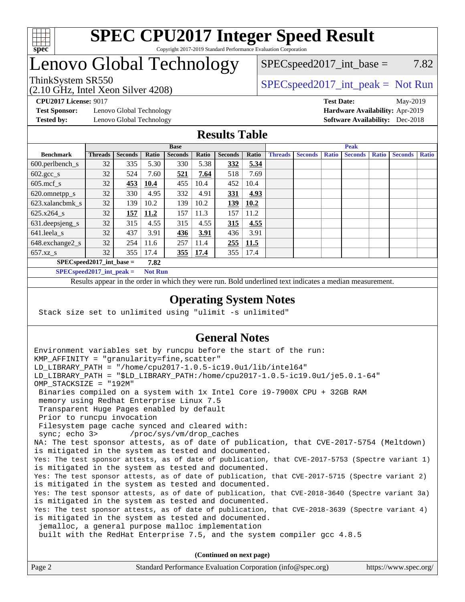

# Lenovo Global Technology

(2.10 GHz, Intel Xeon Silver 4208)

ThinkSystem SR550<br>  $SPEC speed2017\_int\_peak = Not Run$  $SPEC speed2017\_int\_base = 7.82$ 

**[Test Sponsor:](http://www.spec.org/auto/cpu2017/Docs/result-fields.html#TestSponsor)** Lenovo Global Technology **[Hardware Availability:](http://www.spec.org/auto/cpu2017/Docs/result-fields.html#HardwareAvailability)** Apr-2019

**[CPU2017 License:](http://www.spec.org/auto/cpu2017/Docs/result-fields.html#CPU2017License)** 9017 **[Test Date:](http://www.spec.org/auto/cpu2017/Docs/result-fields.html#TestDate)** May-2019 **[Tested by:](http://www.spec.org/auto/cpu2017/Docs/result-fields.html#Testedby)** Lenovo Global Technology **[Software Availability:](http://www.spec.org/auto/cpu2017/Docs/result-fields.html#SoftwareAvailability)** Dec-2018

#### **[Results Table](http://www.spec.org/auto/cpu2017/Docs/result-fields.html#ResultsTable)**

|                            |                |                |       | <b>Base</b>    |       |                |       |                |                |              | <b>Peak</b>    |              |                |              |
|----------------------------|----------------|----------------|-------|----------------|-------|----------------|-------|----------------|----------------|--------------|----------------|--------------|----------------|--------------|
| <b>Benchmark</b>           | <b>Threads</b> | <b>Seconds</b> | Ratio | <b>Seconds</b> | Ratio | <b>Seconds</b> | Ratio | <b>Threads</b> | <b>Seconds</b> | <b>Ratio</b> | <b>Seconds</b> | <b>Ratio</b> | <b>Seconds</b> | <b>Ratio</b> |
| $600.$ perlbench_s         | 32             | 335            | 5.30  | 330            | 5.38  | 332            | 5.34  |                |                |              |                |              |                |              |
| $602.\text{gcc}\_\text{s}$ | 32             | 524            | 7.60  | 521            | 7.64  | 518            | 7.69  |                |                |              |                |              |                |              |
| $605$ .mcf s               | 32             | 453            | 10.4  | 455            | 10.4  | 452            | 10.4  |                |                |              |                |              |                |              |
| 620.omnetpp_s              | 32             | 330            | 4.95  | 332            | 4.91  | 331            | 4.93  |                |                |              |                |              |                |              |
| 623.xalancbmk s            | 32             | 139            | 10.2  | 139            | 10.2  | 139            | 10.2  |                |                |              |                |              |                |              |
| 625.x264 s                 | 32             | 157            | 11.2  | 157            | 11.3  | 157            | 11.2  |                |                |              |                |              |                |              |
| 631.deepsjeng_s            | 32             | 315            | 4.55  | 315            | 4.55  | 315            | 4.55  |                |                |              |                |              |                |              |
| 641.leela s                | 32             | 437            | 3.91  | 436            | 3.91  | 436            | 3.91  |                |                |              |                |              |                |              |
| 648.exchange2_s            | 32             | 254            | 11.6  | 257            | 11.4  | 255            | 11.5  |                |                |              |                |              |                |              |
| $657.xz$ s                 | 32             | 355            | 17.4  | 355            | 17.4  | 355            | 17.4  |                |                |              |                |              |                |              |
| $SPECspeed2017$ int base = |                |                | 7.82  |                |       |                |       |                |                |              |                |              |                |              |

**[SPECspeed2017\\_int\\_peak =](http://www.spec.org/auto/cpu2017/Docs/result-fields.html#SPECspeed2017intpeak) Not Run**

Results appear in the [order in which they were run.](http://www.spec.org/auto/cpu2017/Docs/result-fields.html#RunOrder) Bold underlined text [indicates a median measurement.](http://www.spec.org/auto/cpu2017/Docs/result-fields.html#Median)

#### **[Operating System Notes](http://www.spec.org/auto/cpu2017/Docs/result-fields.html#OperatingSystemNotes)**

Stack size set to unlimited using "ulimit -s unlimited"

### **[General Notes](http://www.spec.org/auto/cpu2017/Docs/result-fields.html#GeneralNotes)**

Environment variables set by runcpu before the start of the run: KMP AFFINITY = "granularity=fine, scatter" LD\_LIBRARY\_PATH = "/home/cpu2017-1.0.5-ic19.0u1/lib/intel64" LD\_LIBRARY\_PATH = "\$LD\_LIBRARY\_PATH:/home/cpu2017-1.0.5-ic19.0u1/je5.0.1-64" OMP\_STACKSIZE = "192M" Binaries compiled on a system with 1x Intel Core i9-7900X CPU + 32GB RAM memory using Redhat Enterprise Linux 7.5 Transparent Huge Pages enabled by default Prior to runcpu invocation Filesystem page cache synced and cleared with: sync; echo 3> /proc/sys/vm/drop\_caches NA: The test sponsor attests, as of date of publication, that CVE-2017-5754 (Meltdown) is mitigated in the system as tested and documented. Yes: The test sponsor attests, as of date of publication, that CVE-2017-5753 (Spectre variant 1) is mitigated in the system as tested and documented. Yes: The test sponsor attests, as of date of publication, that CVE-2017-5715 (Spectre variant 2) is mitigated in the system as tested and documented. Yes: The test sponsor attests, as of date of publication, that CVE-2018-3640 (Spectre variant 3a) is mitigated in the system as tested and documented. Yes: The test sponsor attests, as of date of publication, that CVE-2018-3639 (Spectre variant 4) is mitigated in the system as tested and documented. jemalloc, a general purpose malloc implementation built with the RedHat Enterprise 7.5, and the system compiler gcc 4.8.5 **(Continued on next page)**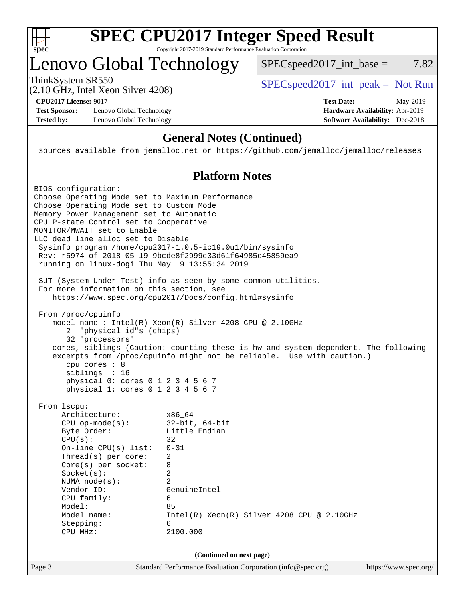

# **[SPEC CPU2017 Integer Speed Result](http://www.spec.org/auto/cpu2017/Docs/result-fields.html#SPECCPU2017IntegerSpeedResult)**

Copyright 2017-2019 Standard Performance Evaluation Corporation

# Lenovo Global Technology

ThinkSystem SR550<br>  $(2.10 \text{ GHz} \text{ Intel } \text{Yoon } \text{Silvar } 4208)$  [SPECspeed2017\\_int\\_peak =](http://www.spec.org/auto/cpu2017/Docs/result-fields.html#SPECspeed2017intpeak) Not Run

 $SPECspeed2017\_int\_base = 7.82$ 

(2.10 GHz, Intel Xeon Silver 4208)

**[Test Sponsor:](http://www.spec.org/auto/cpu2017/Docs/result-fields.html#TestSponsor)** Lenovo Global Technology **[Hardware Availability:](http://www.spec.org/auto/cpu2017/Docs/result-fields.html#HardwareAvailability)** Apr-2019 [Tested by:](http://www.spec.org/auto/cpu2017/Docs/result-fields.html#Testedby) Lenovo Global Technology **[Software Availability:](http://www.spec.org/auto/cpu2017/Docs/result-fields.html#SoftwareAvailability)** Dec-2018

**[CPU2017 License:](http://www.spec.org/auto/cpu2017/Docs/result-fields.html#CPU2017License)** 9017 **[Test Date:](http://www.spec.org/auto/cpu2017/Docs/result-fields.html#TestDate)** May-2019

#### **[General Notes \(Continued\)](http://www.spec.org/auto/cpu2017/Docs/result-fields.html#GeneralNotes)**

sources available from jemalloc.net or <https://github.com/jemalloc/jemalloc/releases>

### **[Platform Notes](http://www.spec.org/auto/cpu2017/Docs/result-fields.html#PlatformNotes)**

| BIOS configuration:<br>Choose Operating Mode set to Maximum Performance<br>Choose Operating Mode set to Custom Mode<br>Memory Power Management set to Automatic<br>CPU P-state Control set to Cooperative<br>MONITOR/MWAIT set to Enable<br>LLC dead line alloc set to Disable<br>running on linux-dogi Thu May 9 13:55:34 2019<br>For more information on this section, see<br>From /proc/cpuinfo<br>"physical id"s (chips)<br>2<br>32 "processors"<br>cpu cores : 8<br>siblings : 16 | Sysinfo program /home/cpu2017-1.0.5-ic19.0u1/bin/sysinfo<br>Rev: r5974 of 2018-05-19 9bcde8f2999c33d61f64985e45859ea9<br>SUT (System Under Test) info as seen by some common utilities.<br>https://www.spec.org/cpu2017/Docs/config.html#sysinfo<br>model name: $Intel(R)$ Xeon(R) Silver 4208 CPU @ 2.10GHz<br>cores, siblings (Caution: counting these is hw and system dependent. The following<br>excerpts from /proc/cpuinfo might not be reliable. Use with caution.) |                       |
|----------------------------------------------------------------------------------------------------------------------------------------------------------------------------------------------------------------------------------------------------------------------------------------------------------------------------------------------------------------------------------------------------------------------------------------------------------------------------------------|-----------------------------------------------------------------------------------------------------------------------------------------------------------------------------------------------------------------------------------------------------------------------------------------------------------------------------------------------------------------------------------------------------------------------------------------------------------------------------|-----------------------|
| physical 0: cores 0 1 2 3 4 5 6 7<br>physical 1: cores 0 1 2 3 4 5 6 7                                                                                                                                                                                                                                                                                                                                                                                                                 |                                                                                                                                                                                                                                                                                                                                                                                                                                                                             |                       |
| From 1scpu:<br>Architecture:<br>$CPU$ op-mode( $s$ ):<br>Byte Order:<br>CPU(s):<br>On-line CPU $(s)$ list:<br>Thread( $s$ ) per core:<br>$Core(s)$ per socket:<br>Socket(s):<br>NUMA $node(s):$<br>Vendor ID:<br>CPU family:<br>Model:<br>Model name:<br>Stepping:<br>CPU MHz:                                                                                                                                                                                                         | x86_64<br>$32$ -bit, $64$ -bit<br>Little Endian<br>32<br>$0 - 31$<br>2<br>8<br>$\overline{a}$<br>$\mathfrak{D}$<br>GenuineIntel<br>6<br>85<br>Intel(R) Xeon(R) Silver 4208 CPU @ 2.10GHz<br>6<br>2100.000                                                                                                                                                                                                                                                                   |                       |
| Page 3                                                                                                                                                                                                                                                                                                                                                                                                                                                                                 | (Continued on next page)<br>Standard Performance Evaluation Corporation (info@spec.org)                                                                                                                                                                                                                                                                                                                                                                                     | https://www.spec.org/ |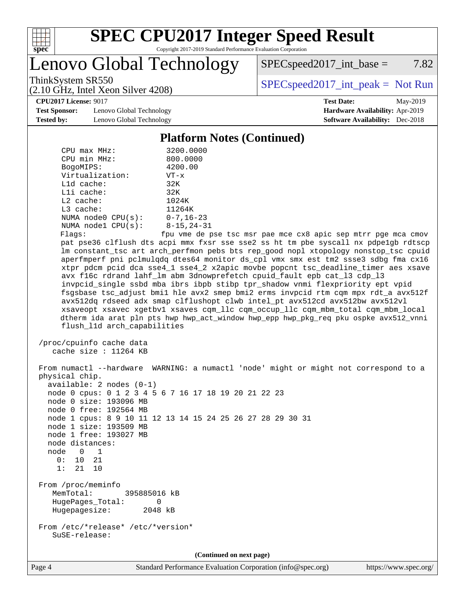

# **[SPEC CPU2017 Integer Speed Result](http://www.spec.org/auto/cpu2017/Docs/result-fields.html#SPECCPU2017IntegerSpeedResult)**

Copyright 2017-2019 Standard Performance Evaluation Corporation

Lenovo Global Technology

 $SPECspeed2017\_int\_base = 7.82$ 

(2.10 GHz, Intel Xeon Silver 4208)

ThinkSystem SR550<br>  $(2.10 \text{ GHz} \text{ Intel } \text{Yoon } \text{Silvar } 4208)$  [SPECspeed2017\\_int\\_peak =](http://www.spec.org/auto/cpu2017/Docs/result-fields.html#SPECspeed2017intpeak) Not Run

**[CPU2017 License:](http://www.spec.org/auto/cpu2017/Docs/result-fields.html#CPU2017License)** 9017 **[Test Date:](http://www.spec.org/auto/cpu2017/Docs/result-fields.html#TestDate)** May-2019

**[Test Sponsor:](http://www.spec.org/auto/cpu2017/Docs/result-fields.html#TestSponsor)** Lenovo Global Technology **[Hardware Availability:](http://www.spec.org/auto/cpu2017/Docs/result-fields.html#HardwareAvailability)** Apr-2019 **[Tested by:](http://www.spec.org/auto/cpu2017/Docs/result-fields.html#Testedby)** Lenovo Global Technology **[Software Availability:](http://www.spec.org/auto/cpu2017/Docs/result-fields.html#SoftwareAvailability)** Dec-2018

#### **[Platform Notes \(Continued\)](http://www.spec.org/auto/cpu2017/Docs/result-fields.html#PlatformNotes)**

| $CPU$ $max$ $MHz$ :                               | 3200.0000                                                                                                                                                    |
|---------------------------------------------------|--------------------------------------------------------------------------------------------------------------------------------------------------------------|
| CPU min MHz:                                      | 800.0000                                                                                                                                                     |
| BogoMIPS:                                         | 4200.00                                                                                                                                                      |
| Virtualization:                                   | $VT - x$                                                                                                                                                     |
| L1d cache:                                        | 32K                                                                                                                                                          |
| Lli cache:                                        | 32K                                                                                                                                                          |
| $L2$ cache:                                       | 1024K                                                                                                                                                        |
| L3 cache:                                         | 11264K                                                                                                                                                       |
| NUMA node0 CPU(s):                                | $0 - 7, 16 - 23$                                                                                                                                             |
| NUMA nodel $CPU(s):$                              | $8 - 15, 24 - 31$                                                                                                                                            |
| Flags:                                            | fpu vme de pse tsc msr pae mce cx8 apic sep mtrr pge mca cmov                                                                                                |
|                                                   | pat pse36 clflush dts acpi mmx fxsr sse sse2 ss ht tm pbe syscall nx pdpelgb rdtscp                                                                          |
|                                                   | lm constant_tsc art arch_perfmon pebs bts rep_good nopl xtopology nonstop_tsc cpuid                                                                          |
|                                                   | aperfmperf pni pclmulqdq dtes64 monitor ds_cpl vmx smx est tm2 ssse3 sdbg fma cx16                                                                           |
|                                                   | xtpr pdcm pcid dca sse4_1 sse4_2 x2apic movbe popcnt tsc_deadline_timer aes xsave<br>avx f16c rdrand lahf_lm abm 3dnowprefetch cpuid_fault epb cat_13 cdp_13 |
|                                                   | invpcid_single ssbd mba ibrs ibpb stibp tpr_shadow vnmi flexpriority ept vpid                                                                                |
|                                                   | fsgsbase tsc_adjust bmil hle avx2 smep bmi2 erms invpcid rtm cqm mpx rdt_a avx512f                                                                           |
|                                                   | avx512dq rdseed adx smap clflushopt clwb intel_pt avx512cd avx512bw avx512vl                                                                                 |
|                                                   | xsaveopt xsavec xgetbvl xsaves cqm_llc cqm_occup_llc cqm_mbm_total cqm_mbm_local                                                                             |
|                                                   | dtherm ida arat pln pts hwp hwp_act_window hwp_epp hwp_pkg_req pku ospke avx512_vnni                                                                         |
| flush_l1d arch_capabilities                       |                                                                                                                                                              |
| /proc/cpuinfo cache data<br>cache size : 11264 KB | From numactl --hardware WARNING: a numactl 'node' might or might not correspond to a                                                                         |
| physical chip.                                    |                                                                                                                                                              |
| $available: 2 nodes (0-1)$                        |                                                                                                                                                              |
|                                                   | node 0 cpus: 0 1 2 3 4 5 6 7 16 17 18 19 20 21 22 23                                                                                                         |
| node 0 size: 193096 MB                            |                                                                                                                                                              |
| node 0 free: 192564 MB                            |                                                                                                                                                              |
|                                                   | node 1 cpus: 8 9 10 11 12 13 14 15 24 25 26 27 28 29 30 31                                                                                                   |
| node 1 size: 193509 MB                            |                                                                                                                                                              |
| node 1 free: 193027 MB                            |                                                                                                                                                              |
| node distances:                                   |                                                                                                                                                              |
| node 0 1                                          |                                                                                                                                                              |
| 0: 10 21                                          |                                                                                                                                                              |
| 21 10<br>1:                                       |                                                                                                                                                              |
| From /proc/meminfo                                |                                                                                                                                                              |
| MemTotal:<br>395885016 kB                         |                                                                                                                                                              |
| HugePages_Total:<br>0                             |                                                                                                                                                              |
| Hugepagesize:<br>2048 kB                          |                                                                                                                                                              |
|                                                   |                                                                                                                                                              |
| From /etc/*release* /etc/*version*                |                                                                                                                                                              |
| SuSE-release:                                     |                                                                                                                                                              |
|                                                   |                                                                                                                                                              |
|                                                   | (Continued on next page)                                                                                                                                     |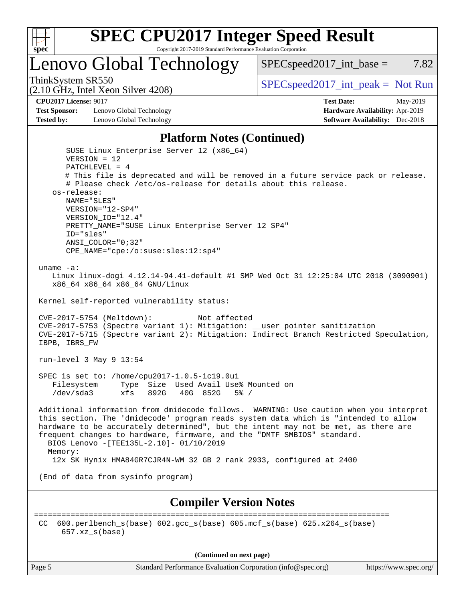

Lenovo Global Technology

ThinkSystem SR550<br>  $SPEC speed2017\_int\_peak = Not Run$ 

 $SPEC speed2017\_int\_base = 7.82$ 

(2.10 GHz, Intel Xeon Silver 4208)

**[CPU2017 License:](http://www.spec.org/auto/cpu2017/Docs/result-fields.html#CPU2017License)** 9017 **[Test Date:](http://www.spec.org/auto/cpu2017/Docs/result-fields.html#TestDate)** May-2019

**[Test Sponsor:](http://www.spec.org/auto/cpu2017/Docs/result-fields.html#TestSponsor)** Lenovo Global Technology **[Hardware Availability:](http://www.spec.org/auto/cpu2017/Docs/result-fields.html#HardwareAvailability)** Apr-2019 **[Tested by:](http://www.spec.org/auto/cpu2017/Docs/result-fields.html#Testedby)** Lenovo Global Technology **[Software Availability:](http://www.spec.org/auto/cpu2017/Docs/result-fields.html#SoftwareAvailability)** Dec-2018

#### **[Platform Notes \(Continued\)](http://www.spec.org/auto/cpu2017/Docs/result-fields.html#PlatformNotes)**

 SUSE Linux Enterprise Server 12 (x86\_64) VERSION = 12 PATCHLEVEL = 4 # This file is deprecated and will be removed in a future service pack or release. # Please check /etc/os-release for details about this release. os-release: NAME="SLES" VERSION="12-SP4" VERSION\_ID="12.4" PRETTY\_NAME="SUSE Linux Enterprise Server 12 SP4" ID="sles" ANSI\_COLOR="0;32" CPE\_NAME="cpe:/o:suse:sles:12:sp4" uname -a: Linux linux-dogi 4.12.14-94.41-default #1 SMP Wed Oct 31 12:25:04 UTC 2018 (3090901) x86\_64 x86\_64 x86\_64 GNU/Linux Kernel self-reported vulnerability status: CVE-2017-5754 (Meltdown): Not affected CVE-2017-5753 (Spectre variant 1): Mitigation: \_\_user pointer sanitization CVE-2017-5715 (Spectre variant 2): Mitigation: Indirect Branch Restricted Speculation, IBPB, IBRS\_FW run-level 3 May 9 13:54 SPEC is set to: /home/cpu2017-1.0.5-ic19.0u1 Filesystem Type Size Used Avail Use% Mounted on /dev/sda3 xfs 892G 40G 852G 5% / Additional information from dmidecode follows. WARNING: Use caution when you interpret this section. The 'dmidecode' program reads system data which is "intended to allow hardware to be accurately determined", but the intent may not be met, as there are frequent changes to hardware, firmware, and the "DMTF SMBIOS" standard. BIOS Lenovo -[TEE135L-2.10]- 01/10/2019 Memory: 12x SK Hynix HMA84GR7CJR4N-WM 32 GB 2 rank 2933, configured at 2400 (End of data from sysinfo program) **[Compiler Version Notes](http://www.spec.org/auto/cpu2017/Docs/result-fields.html#CompilerVersionNotes)** ============================================================================== CC 600.perlbench\_s(base) 602.gcc\_s(base) 605.mcf\_s(base) 625.x264\_s(base) 657.xz\_s(base)

**(Continued on next page)**

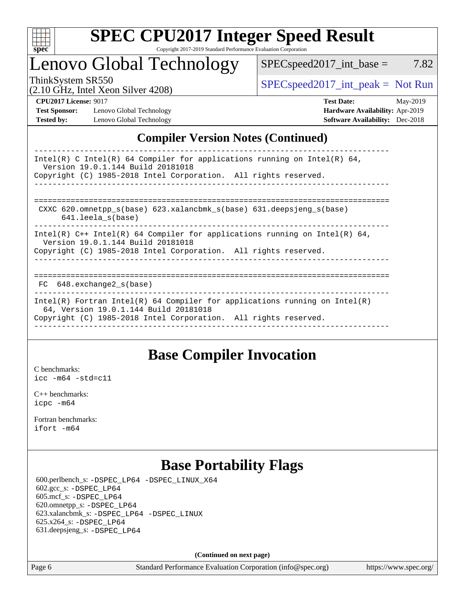

# Lenovo Global Technology

ThinkSystem SR550<br>  $SPEC speed2017\_int\_peak = Not Run$ 

 $SPEC speed2017\_int\_base = 7.82$ 

(2.10 GHz, Intel Xeon Silver 4208)

**[Test Sponsor:](http://www.spec.org/auto/cpu2017/Docs/result-fields.html#TestSponsor)** Lenovo Global Technology **[Hardware Availability:](http://www.spec.org/auto/cpu2017/Docs/result-fields.html#HardwareAvailability)** Apr-2019 **[Tested by:](http://www.spec.org/auto/cpu2017/Docs/result-fields.html#Testedby)** Lenovo Global Technology **[Software Availability:](http://www.spec.org/auto/cpu2017/Docs/result-fields.html#SoftwareAvailability)** Dec-2018

**[CPU2017 License:](http://www.spec.org/auto/cpu2017/Docs/result-fields.html#CPU2017License)** 9017 **[Test Date:](http://www.spec.org/auto/cpu2017/Docs/result-fields.html#TestDate)** May-2019

### **[Compiler Version Notes \(Continued\)](http://www.spec.org/auto/cpu2017/Docs/result-fields.html#CompilerVersionNotes)**

| Intel(R) C Intel(R) 64 Compiler for applications running on Intel(R) 64,<br>Version 19.0.1.144 Build 20181018<br>Copyright (C) 1985-2018 Intel Corporation. All rights reserved.       |
|----------------------------------------------------------------------------------------------------------------------------------------------------------------------------------------|
| CXXC 620.omnetpp $s(base)$ 623.xalancbmk $s(base)$ 631.deepsjeng $s(base)$<br>$641.$ leela $s(base)$                                                                                   |
| Intel(R) $C++$ Intel(R) 64 Compiler for applications running on Intel(R) 64,<br>Version 19.0.1.144 Build 20181018<br>Copyright (C) 1985-2018 Intel Corporation. All rights reserved.   |
| $FC$ 648. exchange 2 $s$ (base)                                                                                                                                                        |
| Intel(R) Fortran Intel(R) 64 Compiler for applications running on Intel(R)<br>64, Version 19.0.1.144 Build 20181018<br>Copyright (C) 1985-2018 Intel Corporation. All rights reserved. |

## **[Base Compiler Invocation](http://www.spec.org/auto/cpu2017/Docs/result-fields.html#BaseCompilerInvocation)**

[C benchmarks](http://www.spec.org/auto/cpu2017/Docs/result-fields.html#Cbenchmarks): [icc -m64 -std=c11](http://www.spec.org/cpu2017/results/res2019q2/cpu2017-20190513-13823.flags.html#user_CCbase_intel_icc_64bit_c11_33ee0cdaae7deeeab2a9725423ba97205ce30f63b9926c2519791662299b76a0318f32ddfffdc46587804de3178b4f9328c46fa7c2b0cd779d7a61945c91cd35)

[C++ benchmarks:](http://www.spec.org/auto/cpu2017/Docs/result-fields.html#CXXbenchmarks) [icpc -m64](http://www.spec.org/cpu2017/results/res2019q2/cpu2017-20190513-13823.flags.html#user_CXXbase_intel_icpc_64bit_4ecb2543ae3f1412ef961e0650ca070fec7b7afdcd6ed48761b84423119d1bf6bdf5cad15b44d48e7256388bc77273b966e5eb805aefd121eb22e9299b2ec9d9)

[Fortran benchmarks](http://www.spec.org/auto/cpu2017/Docs/result-fields.html#Fortranbenchmarks): [ifort -m64](http://www.spec.org/cpu2017/results/res2019q2/cpu2017-20190513-13823.flags.html#user_FCbase_intel_ifort_64bit_24f2bb282fbaeffd6157abe4f878425411749daecae9a33200eee2bee2fe76f3b89351d69a8130dd5949958ce389cf37ff59a95e7a40d588e8d3a57e0c3fd751)

## **[Base Portability Flags](http://www.spec.org/auto/cpu2017/Docs/result-fields.html#BasePortabilityFlags)**

 600.perlbench\_s: [-DSPEC\\_LP64](http://www.spec.org/cpu2017/results/res2019q2/cpu2017-20190513-13823.flags.html#b600.perlbench_s_basePORTABILITY_DSPEC_LP64) [-DSPEC\\_LINUX\\_X64](http://www.spec.org/cpu2017/results/res2019q2/cpu2017-20190513-13823.flags.html#b600.perlbench_s_baseCPORTABILITY_DSPEC_LINUX_X64) 602.gcc\_s: [-DSPEC\\_LP64](http://www.spec.org/cpu2017/results/res2019q2/cpu2017-20190513-13823.flags.html#suite_basePORTABILITY602_gcc_s_DSPEC_LP64) 605.mcf\_s: [-DSPEC\\_LP64](http://www.spec.org/cpu2017/results/res2019q2/cpu2017-20190513-13823.flags.html#suite_basePORTABILITY605_mcf_s_DSPEC_LP64) 620.omnetpp\_s: [-DSPEC\\_LP64](http://www.spec.org/cpu2017/results/res2019q2/cpu2017-20190513-13823.flags.html#suite_basePORTABILITY620_omnetpp_s_DSPEC_LP64) 623.xalancbmk\_s: [-DSPEC\\_LP64](http://www.spec.org/cpu2017/results/res2019q2/cpu2017-20190513-13823.flags.html#suite_basePORTABILITY623_xalancbmk_s_DSPEC_LP64) [-DSPEC\\_LINUX](http://www.spec.org/cpu2017/results/res2019q2/cpu2017-20190513-13823.flags.html#b623.xalancbmk_s_baseCXXPORTABILITY_DSPEC_LINUX) 625.x264\_s: [-DSPEC\\_LP64](http://www.spec.org/cpu2017/results/res2019q2/cpu2017-20190513-13823.flags.html#suite_basePORTABILITY625_x264_s_DSPEC_LP64) 631.deepsjeng\_s: [-DSPEC\\_LP64](http://www.spec.org/cpu2017/results/res2019q2/cpu2017-20190513-13823.flags.html#suite_basePORTABILITY631_deepsjeng_s_DSPEC_LP64)

**(Continued on next page)**

Page 6 Standard Performance Evaluation Corporation [\(info@spec.org\)](mailto:info@spec.org) <https://www.spec.org/>